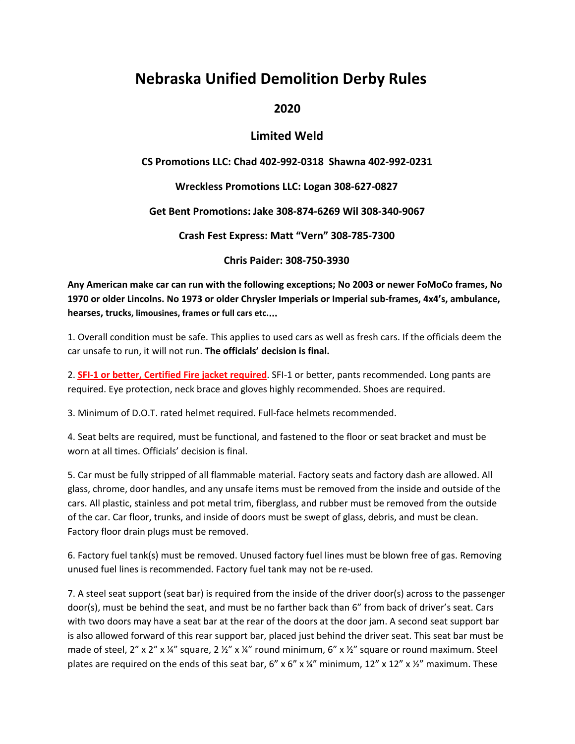# **Nebraska Unified Demolition Derby Rules**

### **2020**

### **Limited Weld**

#### **CS Promotions LLC: Chad 402-992-0318 Shawna 402-992-0231**

#### **Wreckless Promotions LLC: Logan 308-627-0827**

#### **Get Bent Promotions: Jake 308-874-6269 Wil 308-340-9067**

**Crash Fest Express: Matt "Vern" 308-785-7300**

**Chris Paider: 308-750-3930**

**Any American make car can run with the following exceptions; No 2003 or newer FoMoCo frames, No 1970 or older Lincolns. No 1973 or older Chrysler Imperials or Imperial sub-frames, 4x4's, ambulance, hearses, trucks, limousines, frames or full cars etc.**…

1. Overall condition must be safe. This applies to used cars as well as fresh cars. If the officials deem the car unsafe to run, it will not run. **The officials' decision is final.**

2. **SFI-1 or better, Certified Fire jacket required**. SFI-1 or better, pants recommended. Long pants are required. Eye protection, neck brace and gloves highly recommended. Shoes are required.

3. Minimum of D.O.T. rated helmet required. Full-face helmets recommended.

4. Seat belts are required, must be functional, and fastened to the floor or seat bracket and must be worn at all times. Officials' decision is final.

5. Car must be fully stripped of all flammable material. Factory seats and factory dash are allowed. All glass, chrome, door handles, and any unsafe items must be removed from the inside and outside of the cars. All plastic, stainless and pot metal trim, fiberglass, and rubber must be removed from the outside of the car. Car floor, trunks, and inside of doors must be swept of glass, debris, and must be clean. Factory floor drain plugs must be removed.

6. Factory fuel tank(s) must be removed. Unused factory fuel lines must be blown free of gas. Removing unused fuel lines is recommended. Factory fuel tank may not be re-used.

7. A steel seat support (seat bar) is required from the inside of the driver door(s) across to the passenger door(s), must be behind the seat, and must be no farther back than 6" from back of driver's seat. Cars with two doors may have a seat bar at the rear of the doors at the door jam. A second seat support bar is also allowed forward of this rear support bar, placed just behind the driver seat. This seat bar must be made of steel, 2" x 2" x  $\frac{1}{4}$ " square, 2  $\frac{1}{2}$ " x  $\frac{1}{4}$ " round minimum, 6" x  $\frac{1}{2}$ " square or round maximum. Steel plates are required on the ends of this seat bar, 6" x 6" x  $\frac{1}{4}$ " minimum, 12" x 12" x  $\frac{1}{2}$ " maximum. These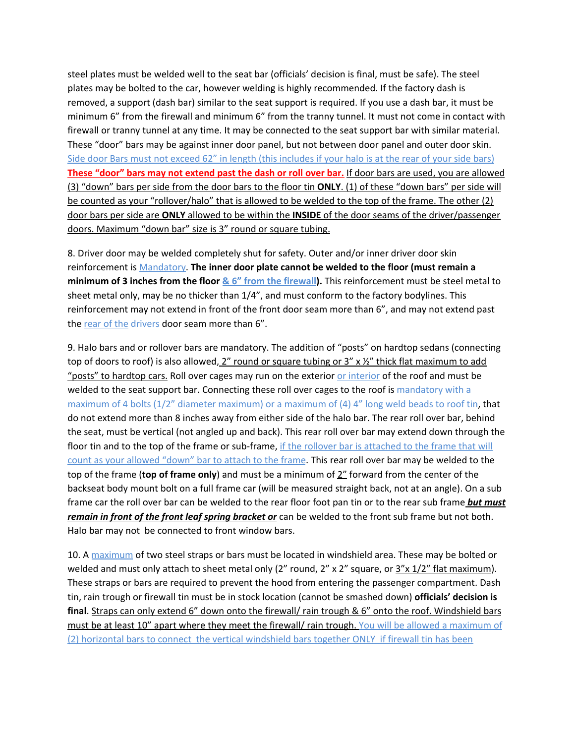steel plates must be welded well to the seat bar (officials' decision is final, must be safe). The steel plates may be bolted to the car, however welding is highly recommended. If the factory dash is removed, a support (dash bar) similar to the seat support is required. If you use a dash bar, it must be minimum 6" from the firewall and minimum 6" from the tranny tunnel. It must not come in contact with firewall or tranny tunnel at any time. It may be connected to the seat support bar with similar material. These "door" bars may be against inner door panel, but not between door panel and outer door skin. Side door Bars must not exceed 62" in length (this includes if your halo is at the rear of your side bars) **These "door" bars may not extend past the dash or roll over bar.** If door bars are used, you are allowed (3) "down" bars per side from the door bars to the floor tin **ONLY**. (1) of these "down bars" per side will be counted as your "rollover/halo" that is allowed to be welded to the top of the frame. The other (2) door bars per side are **ONLY** allowed to be within the **INSIDE** of the door seams of the driver/passenger doors. Maximum "down bar" size is 3" round or square tubing.

8. Driver door may be welded completely shut for safety. Outer and/or inner driver door skin reinforcement is Mandatory. **The inner door plate cannot be welded to the floor (must remain a minimum of 3 inches from the floor & 6" from the firewall).** This reinforcement must be steel metal to sheet metal only, may be no thicker than 1/4", and must conform to the factory bodylines. This reinforcement may not extend in front of the front door seam more than 6", and may not extend past the rear of the drivers door seam more than 6".

9. Halo bars and or rollover bars are mandatory. The addition of "posts" on hardtop sedans (connecting top of doors to roof) is also allowed,  $2''$  round or square tubing or  $3''$  x  $\frac{1}{2}''$  thick flat maximum to add "posts" to hardtop cars. Roll over cages may run on the exterior or interior of the roof and must be welded to the seat support bar. Connecting these roll over cages to the roof is mandatory with a maximum of 4 bolts (1/2" diameter maximum) or a maximum of (4) 4" long weld beads to roof tin, that do not extend more than 8 inches away from either side of the halo bar. The rear roll over bar, behind the seat, must be vertical (not angled up and back). This rear roll over bar may extend down through the floor tin and to the top of the frame or sub-frame, if the rollover bar is attached to the frame that will count as your allowed "down" bar to attach to the frame. This rear roll over bar may be welded to the top of the frame (**top of frame only**) and must be a minimum of 2" forward from the center of the backseat body mount bolt on a full frame car (will be measured straight back, not at an angle). On a sub frame car the roll over bar can be welded to the rear floor foot pan tin or to the rear sub frame *but must remain in front of the front leaf spring bracket or* can be welded to the front sub frame but not both. Halo bar may not be connected to front window bars.

10. A maximum of two steel straps or bars must be located in windshield area. These may be bolted or welded and must only attach to sheet metal only (2" round, 2" x 2" square, or  $3"x 1/2"$  flat maximum). These straps or bars are required to prevent the hood from entering the passenger compartment. Dash tin, rain trough or firewall tin must be in stock location (cannot be smashed down) **officials' decision is final**. Straps can only extend 6" down onto the firewall/ rain trough & 6" onto the roof. Windshield bars must be at least 10" apart where they meet the firewall/ rain trough. You will be allowed a maximum of (2) horizontal bars to connect the vertical windshield bars together ONLY if firewall tin has been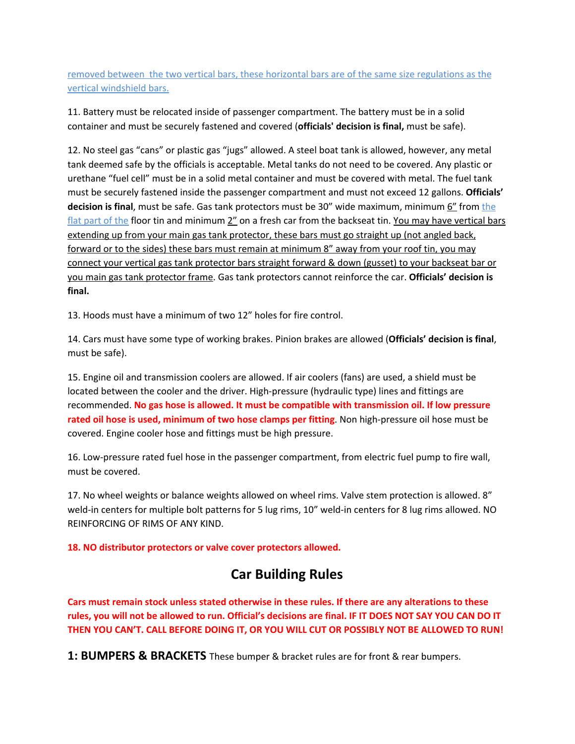removed between the two vertical bars, these horizontal bars are of the same size regulations as the vertical windshield bars.

11. Battery must be relocated inside of passenger compartment. The battery must be in a solid container and must be securely fastened and covered (**officials' decision is final,** must be safe).

12. No steel gas "cans" or plastic gas "jugs" allowed. A steel boat tank is allowed, however, any metal tank deemed safe by the officials is acceptable. Metal tanks do not need to be covered. Any plastic or urethane "fuel cell" must be in a solid metal container and must be covered with metal. The fuel tank must be securely fastened inside the passenger compartment and must not exceed 12 gallons. **Officials' decision is final,** must be safe. Gas tank protectors must be 30" wide maximum, minimum  $\underline{6}$ " from the flat part of the floor tin and minimum 2" on a fresh car from the backseat tin. You may have vertical bars extending up from your main gas tank protector, these bars must go straight up (not angled back, forward or to the sides) these bars must remain at minimum 8" away from your roof tin, you may connect your vertical gas tank protector bars straight forward & down (gusset) to your backseat bar or you main gas tank protector frame. Gas tank protectors cannot reinforce the car. **Officials' decision is final.**

13. Hoods must have a minimum of two 12" holes for fire control.

14. Cars must have some type of working brakes. Pinion brakes are allowed (**Officials' decision is final**, must be safe).

15. Engine oil and transmission coolers are allowed. If air coolers (fans) are used, a shield must be located between the cooler and the driver. High-pressure (hydraulic type) lines and fittings are recommended. **No gas hose is allowed. It must be compatible with transmission oil. If low pressure rated oil hose is used, minimum of two hose clamps per fitting**. Non high-pressure oil hose must be covered. Engine cooler hose and fittings must be high pressure.

16. Low-pressure rated fuel hose in the passenger compartment, from electric fuel pump to fire wall, must be covered.

17. No wheel weights or balance weights allowed on wheel rims. Valve stem protection is allowed. 8" weld-in centers for multiple bolt patterns for 5 lug rims, 10" weld-in centers for 8 lug rims allowed. NO REINFORCING OF RIMS OF ANY KIND.

**18. NO distributor protectors or valve cover protectors allowed.**

# **Car Building Rules**

**Cars must remain stock unless stated otherwise in these rules. If there are any alterations to these** rules, you will not be allowed to run. Official's decisions are final. IF IT DOES NOT SAY YOU CAN DO IT **THEN YOU CAN'T. CALL BEFORE DOING IT, OR YOU WILL CUT OR POSSIBLY NOT BE ALLOWED TO RUN!**

**1: BUMPERS & BRACKETS** These bumper & bracket rules are for front & rear bumpers.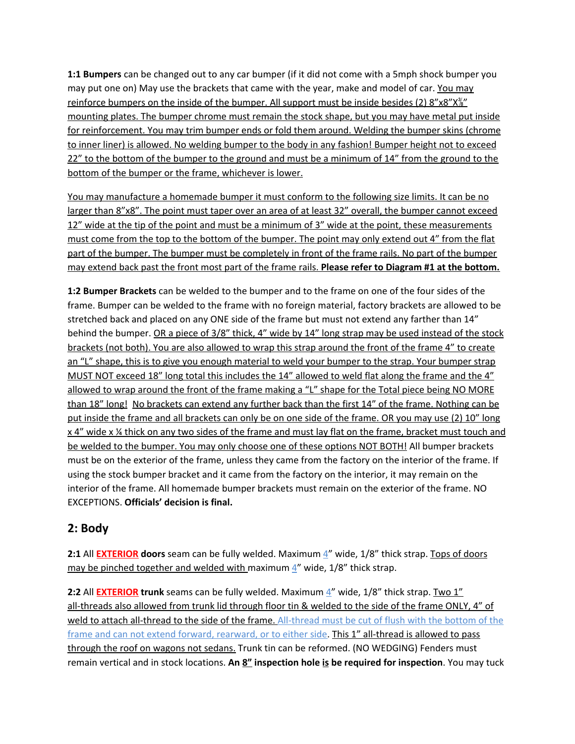**1:1 Bumpers** can be changed out to any car bumper (if it did not come with a 5mph shock bumper you may put one on) May use the brackets that came with the year, make and model of car. You may reinforce bumpers on the inside of the bumper. All support must be inside besides (2) 8"x8"X<sup>3"</sup> mounting plates. The bumper chrome must remain the stock shape, but you may have metal put inside for reinforcement. You may trim bumper ends or fold them around. Welding the bumper skins (chrome to inner liner) is allowed. No welding bumper to the body in any fashion! Bumper height not to exceed 22" to the bottom of the bumper to the ground and must be a minimum of 14" from the ground to the bottom of the bumper or the frame, whichever is lower.

You may manufacture a homemade bumper it must conform to the following size limits. It can be no larger than 8"x8". The point must taper over an area of at least 32" overall, the bumper cannot exceed 12" wide at the tip of the point and must be a minimum of 3" wide at the point, these measurements must come from the top to the bottom of the bumper. The point may only extend out 4" from the flat part of the bumper. The bumper must be completely in front of the frame rails. No part of the bumper may extend back past the front most part of the frame rails. **Please refer to Diagram #1 at the bottom.**

**1:2 Bumper Brackets** can be welded to the bumper and to the frame on one of the four sides of the frame. Bumper can be welded to the frame with no foreign material, factory brackets are allowed to be stretched back and placed on any ONE side of the frame but must not extend any farther than 14" behind the bumper. OR a piece of 3/8" thick, 4" wide by 14" long strap may be used instead of the stock brackets (not both). You are also allowed to wrap this strap around the front of the frame 4" to create an "L" shape, this is to give you enough material to weld your bumper to the strap. Your bumper strap MUST NOT exceed 18" long total this includes the 14" allowed to weld flat along the frame and the 4" allowed to wrap around the front of the frame making a "L" shape for the Total piece being NO MORE than 18" long! No brackets can extend any further back than the first 14" of the frame. Nothing can be put inside the frame and all brackets can only be on one side of the frame. OR you may use (2) 10" long x 4" wide x % thick on any two sides of the frame and must lay flat on the frame, bracket must touch and be welded to the bumper. You may only choose one of these options NOT BOTH! All bumper brackets must be on the exterior of the frame, unless they came from the factory on the interior of the frame. If using the stock bumper bracket and it came from the factory on the interior, it may remain on the interior of the frame. All homemade bumper brackets must remain on the exterior of the frame. NO EXCEPTIONS. **Officials' decision is final.**

# **2: Body**

**2:1** All **EXTERIOR doors** seam can be fully welded. Maximum 4" wide, 1/8" thick strap. Tops of doors may be pinched together and welded with maximum  $4''$  wide, 1/8" thick strap.

**2:2** All **EXTERIOR trunk** seams can be fully welded. Maximum  $\frac{4}{1}$  wide, 1/8" thick strap. Two 1" all-threads also allowed from trunk lid through floor tin & welded to the side of the frame ONLY, 4" of weld to attach all-thread to the side of the frame. All-thread must be cut of flush with the bottom of the frame and can not extend forward, rearward, or to either side. This 1" all-thread is allowed to pass through the roof on wagons not sedans. Trunk tin can be reformed. (NO WEDGING) Fenders must remain vertical and in stock locations. **An 8" inspection hole is be required for inspection**. You may tuck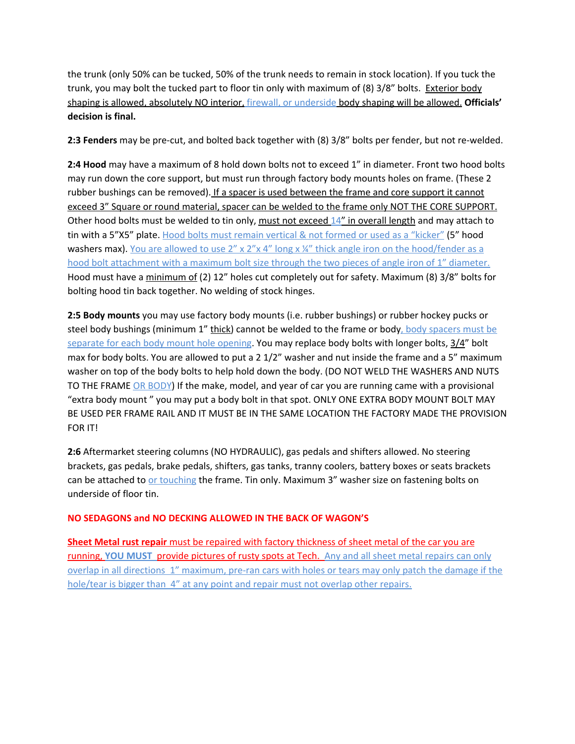the trunk (only 50% can be tucked, 50% of the trunk needs to remain in stock location). If you tuck the trunk, you may bolt the tucked part to floor tin only with maximum of (8) 3/8" bolts. Exterior body shaping is allowed, absolutely NO interior, firewall, or underside body shaping will be allowed. **Officials' decision is final.**

**2:3 Fenders** may be pre-cut, and bolted back together with (8) 3/8" bolts per fender, but not re-welded.

**2:4 Hood** may have a maximum of 8 hold down bolts not to exceed 1" in diameter. Front two hood bolts may run down the core support, but must run through factory body mounts holes on frame. (These 2 rubber bushings can be removed). If a spacer is used between the frame and core support it cannot exceed 3" Square or round material, spacer can be welded to the frame only NOT THE CORE SUPPORT. Other hood bolts must be welded to tin only, must not exceed 14" in overall length and may attach to tin with a 5"X5" plate. Hood bolts must remain vertical & not formed or used as a "kicker" (5" hood washers max). You are allowed to use  $2'' \times 2'' \times 4''$  long  $\times \frac{1}{4}$  thick angle iron on the hood/fender as a hood bolt attachment with a maximum bolt size through the two pieces of angle iron of 1" diameter. Hood must have a minimum of (2) 12" holes cut completely out for safety. Maximum (8) 3/8" bolts for bolting hood tin back together. No welding of stock hinges.

**2:5 Body mounts** you may use factory body mounts (i.e. rubber bushings) or rubber hockey pucks or steel body bushings (minimum 1" thick) cannot be welded to the frame or body, body spacers must be separate for each body mount hole opening. You may replace body bolts with longer bolts, 3/4" bolt max for body bolts. You are allowed to put a 2 1/2" washer and nut inside the frame and a 5" maximum washer on top of the body bolts to help hold down the body. (DO NOT WELD THE WASHERS AND NUTS TO THE FRAME OR BODY) If the make, model, and year of car you are running came with a provisional "extra body mount " you may put a body bolt in that spot. ONLY ONE EXTRA BODY MOUNT BOLT MAY BE USED PER FRAME RAIL AND IT MUST BE IN THE SAME LOCATION THE FACTORY MADE THE PROVISION FOR IT!

**2:6** Aftermarket steering columns (NO HYDRAULIC), gas pedals and shifters allowed. No steering brackets, gas pedals, brake pedals, shifters, gas tanks, tranny coolers, battery boxes or seats brackets can be attached to or touching the frame. Tin only. Maximum 3" washer size on fastening bolts on underside of floor tin.

#### **NO SEDAGONS and NO DECKING ALLOWED IN THE BACK OF WAGON'S**

**Sheet Metal rust repair** must be repaired with factory thickness of sheet metal of the car you are running, **YOU MUST** provide pictures of rusty spots at Tech. Any and all sheet metal repairs can only overlap in all directions 1" maximum, pre-ran cars with holes or tears may only patch the damage if the hole/tear is bigger than 4" at any point and repair must not overlap other repairs.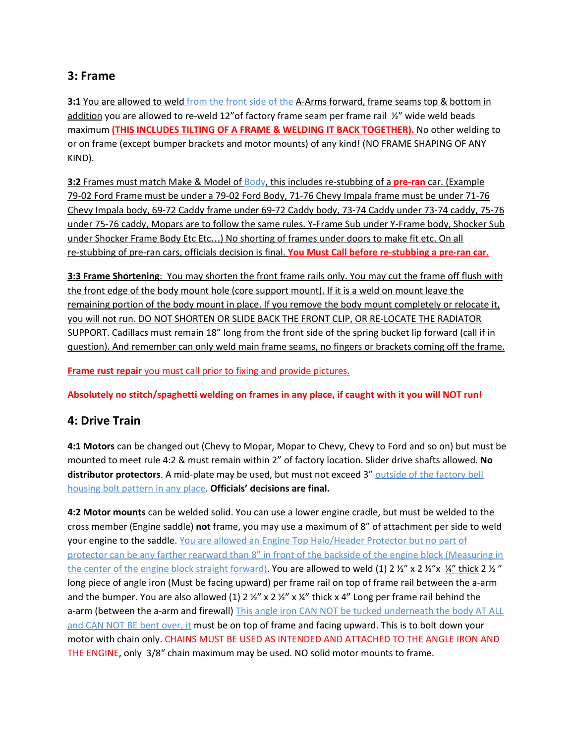### **3: Frame**

**3:1** You are allowed to weld from the front side of the A-Arms forward, frame seams top & bottom in addition you are allowed to re-weld 12"of factory frame seam per frame rail ½" wide weld beads maximum **(THIS INCLUDES TILTING OF A FRAME & WELDING IT BACK TOGETHER).** No other welding to or on frame (except bumper brackets and motor mounts) of any kind! (NO FRAME SHAPING OF ANY KIND).

**3:2** Frames must match Make & Model of Body, this includes re-stubbing of a **pre-ran** car. (Example 79-02 Ford Frame must be under a 79-02 Ford Body, 71-76 Chevy Impala frame must be under 71-76 Chevy Impala body, 69-72 Caddy frame under 69-72 Caddy body, 73-74 Caddy under 73-74 caddy, 75-76 under 75-76 caddy, Mopars are to follow the same rules. Y-Frame Sub under Y-Frame body, Shocker Sub under Shocker Frame Body Etc Etc…) No shorting of frames under doors to make fit etc. On all re-stubbing of pre-ran cars, officials decision is final. **You Must Call before re-stubbing a pre-ran car.**

**3:3 Frame Shortening**: You may shorten the front frame rails only. You may cut the frame off flush with the front edge of the body mount hole (core support mount). If it is a weld on mount leave the remaining portion of the body mount in place. If you remove the body mount completely or relocate it, you will not run. DO NOT SHORTEN OR SLIDE BACK THE FRONT CLIP, OR RE-LOCATE THE RADIATOR SUPPORT. Cadillacs must remain 18" long from the front side of the spring bucket lip forward (call if in question). And remember can only weld main frame seams, no fingers or brackets coming off the frame.

**Frame rust repair** you must call prior to fixing and provide pictures.

**Absolutely no stitch/spaghetti welding on frames in any place, if caught with it you will NOT run!**

# **4: Drive Train**

**4:1 Motors** can be changed out (Chevy to Mopar, Mopar to Chevy, Chevy to Ford and so on) but must be mounted to meet rule 4:2 & must remain within 2" of factory location. Slider drive shafts allowed. **No distributor protectors**. A mid-plate may be used, but must not exceed 3" outside of the factory bell housing bolt pattern in any place. **Officials' decisions are final.**

**4:2 Motor mounts** can be welded solid. You can use a lower engine cradle, but must be welded to the cross member (Engine saddle) **not** frame, you may use a maximum of 8" of attachment per side to weld your engine to the saddle. You are allowed an Engine Top Halo/Header Protector but no part of protector can be any farther rearward than 8" in front of the backside of the engine block (Measuring in the center of the engine block straight forward). You are allowed to weld (1) 2  $\frac{1}{2}$   $\frac{1}{2}$   $\frac{1}{2}$   $\frac{1}{2}$   $\frac{1}{2}$   $\frac{1}{2}$   $\frac{1}{2}$   $\frac{1}{2}$   $\frac{1}{2}$   $\frac{1}{2}$   $\frac{1}{2}$   $\frac{1}{2}$   $\frac{1}{2}$   $\frac{1}{2}$  long piece of angle iron (Must be facing upward) per frame rail on top of frame rail between the a-arm and the bumper. You are also allowed (1)  $2 \frac{1}{2}$  x 2  $\frac{1}{2}$  x 14" thick x 4" Long per frame rail behind the a-arm (between the a-arm and firewall) This angle iron CAN NOT be tucked underneath the body AT ALL and CAN NOT BE bent over, it must be on top of frame and facing upward. This is to bolt down your motor with chain only. CHAINS MUST BE USED AS INTENDED AND ATTACHED TO THE ANGLE IRON AND THE ENGINE, only 3/8" chain maximum may be used. NO solid motor mounts to frame.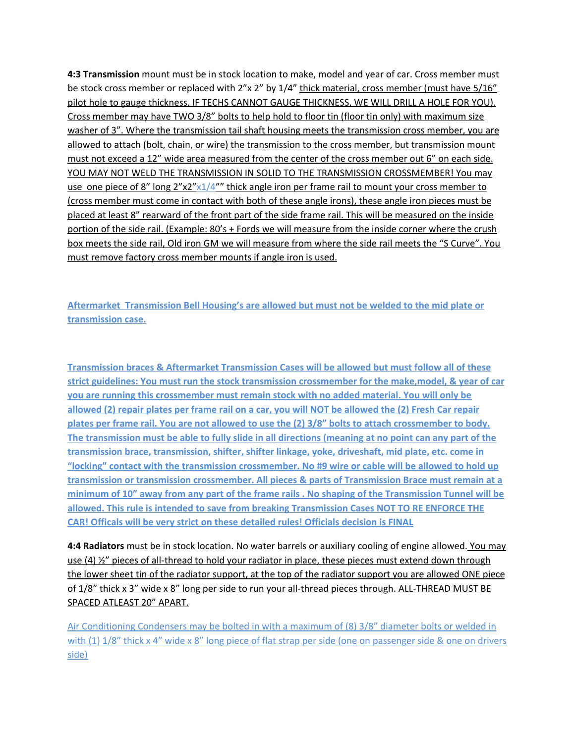**4:3 Transmission** mount must be in stock location to make, model and year of car. Cross member must be stock cross member or replaced with 2"x 2" by 1/4" thick material, cross member (must have 5/16" pilot hole to gauge thickness, IF TECHS CANNOT GAUGE THICKNESS, WE WILL DRILL A HOLE FOR YOU). Cross member may have TWO 3/8" bolts to help hold to floor tin (floor tin only) with maximum size washer of 3". Where the transmission tail shaft housing meets the transmission cross member, you are allowed to attach (bolt, chain, or wire) the transmission to the cross member, but transmission mount must not exceed a 12" wide area measured from the center of the cross member out 6" on each side. YOU MAY NOT WELD THE TRANSMISSION IN SOLID TO THE TRANSMISSION CROSSMEMBER! You may use one piece of 8" long  $2''x2''x1/4'''$  thick angle iron per frame rail to mount your cross member to (cross member must come in contact with both of these angle irons), these angle iron pieces must be placed at least 8" rearward of the front part of the side frame rail. This will be measured on the inside portion of the side rail. (Example: 80's + Fords we will measure from the inside corner where the crush box meets the side rail, Old iron GM we will measure from where the side rail meets the "S Curve". You must remove factory cross member mounts if angle iron is used.

**Aftermarket Transmission Bell Housing's are allowed but must not be welded to the mid plate or transmission case.**

**Transmission braces & Aftermarket Transmission Cases will be allowed but must follow all of these strict guidelines: You must run the stock transmission crossmember for the make,model, & year of car you are running this crossmember must remain stock with no added material. You will only be** allowed (2) repair plates per frame rail on a car, you will NOT be allowed the (2) Fresh Car repair plates per frame rail. You are not allowed to use the (2) 3/8" bolts to attach crossmember to body. The transmission must be able to fully slide in all directions (meaning at no point can any part of the **transmission brace, transmission, shifter, shifter linkage, yoke, driveshaft, mid plate, etc. come in "locking" contact with the transmission crossmember. No #9 wire or cable will be allowed to hold up transmission or transmission crossmember. All pieces & parts of Transmission Brace must remain at a** minimum of 10" away from any part of the frame rails . No shaping of the Transmission Tunnel will be **allowed. This rule is intended to save from breaking Transmission Cases NOT TO RE ENFORCE THE CAR! Officals will be very strict on these detailed rules! Officials decision is FINAL**

**4:4 Radiators** must be in stock location. No water barrels or auxiliary cooling of engine allowed. You may use (4)  $\frac{1}{2}$  pieces of all-thread to hold your radiator in place, these pieces must extend down through the lower sheet tin of the radiator support, at the top of the radiator support you are allowed ONE piece of  $1/8$ " thick x 3" wide x 8" long per side to run your all-thread pieces through. ALL-THREAD MUST BE SPACED ATLEAST 20" APART.

Air Conditioning Condensers may be bolted in with a maximum of (8) 3/8" diameter bolts or welded in with (1)  $1/8$ " thick x 4" wide x 8" long piece of flat strap per side (one on passenger side & one on drivers side)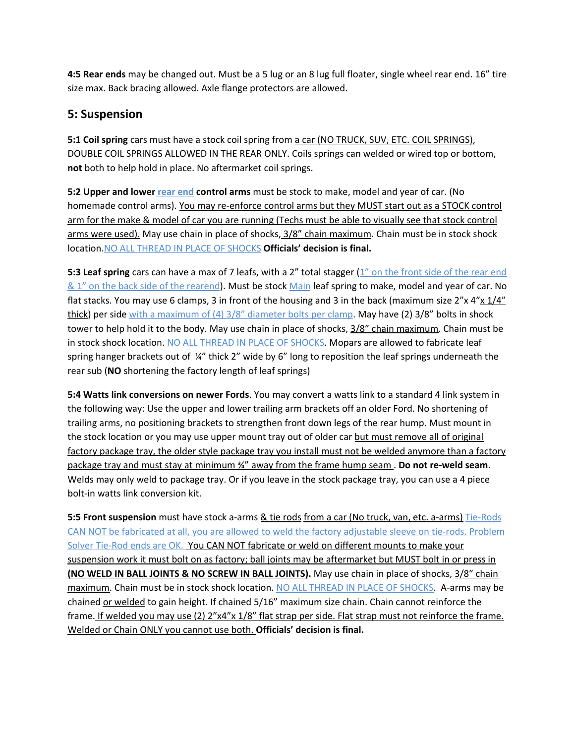**4:5 Rear ends** may be changed out. Must be a 5 lug or an 8 lug full floater, single wheel rear end. 16" tire size max. Back bracing allowed. Axle flange protectors are allowed.

## **5: Suspension**

**5:1 Coil spring** cars must have a stock coil spring from a car (NO TRUCK, SUV, ETC. COIL SPRINGS), DOUBLE COIL SPRINGS ALLOWED IN THE REAR ONLY. Coils springs can welded or wired top or bottom, **not** both to help hold in place. No aftermarket coil springs.

**5:2 Upper and lower rear end control arms** must be stock to make, model and year of car. (No homemade control arms). You may re-enforce control arms but they MUST start out as a STOCK control arm for the make & model of car you are running (Techs must be able to visually see that stock control arms were used). May use chain in place of shocks, 3/8" chain maximum. Chain must be in stock shock location.NO ALL THREAD IN PLACE OF SHOCKS **Officials' decision is final.**

**5:3 Leaf spring** cars can have a max of 7 leafs, with a 2" total stagger (1" on the front side of the rear end & 1" on the back side of the rearend). Must be stock Main leaf spring to make, model and year of car. No flat stacks. You may use 6 clamps, 3 in front of the housing and 3 in the back (maximum size  $2''x 4''x 1/4''$ thick) per side with a maximum of (4) 3/8" diameter bolts per clamp. May have (2) 3/8" bolts in shock tower to help hold it to the body. May use chain in place of shocks,  $3/8$ " chain maximum. Chain must be in stock shock location. NO ALL THREAD IN PLACE OF SHOCKS. Mopars are allowed to fabricate leaf spring hanger brackets out of ¼" thick 2" wide by 6" long to reposition the leaf springs underneath the rear sub (**NO** shortening the factory length of leaf springs)

**5:4 Watts link conversions on newer Fords**. You may convert a watts link to a standard 4 link system in the following way: Use the upper and lower trailing arm brackets off an older Ford. No shortening of trailing arms, no positioning brackets to strengthen front down legs of the rear hump. Must mount in the stock location or you may use upper mount tray out of older car but must remove all of original factory package tray, the older style package tray you install must not be welded anymore than a factory package tray and must stay at minimum ¾" away from the frame hump seam . **Do not re-weld seam**. Welds may only weld to package tray. Or if you leave in the stock package tray, you can use a 4 piece bolt-in watts link conversion kit.

**5:5 Front suspension** must have stock a-arms & tie rods from a car (No truck, van, etc. a-arms) Tie-Rods CAN NOT be fabricated at all, you are allowed to weld the factory adjustable sleeve on tie-rods. Problem Solver Tie-Rod ends are OK. You CAN NOT fabricate or weld on different mounts to make your suspension work it must bolt on as factory; ball joints may be aftermarket but MUST bolt in or press in **(NO WELD IN BALL JOINTS & NO SCREW IN BALL JOINTS).** May use chain in place of shocks, 3/8" chain maximum. Chain must be in stock shock location. NO ALL THREAD IN PLACE OF SHOCKS. A-arms may be chained or welded to gain height. If chained 5/16" maximum size chain. Chain cannot reinforce the frame. If welded you may use (2) 2"x4"x 1/8" flat strap per side. Flat strap must not reinforce the frame. Welded or Chain ONLY you cannot use both. **Officials' decision is final.**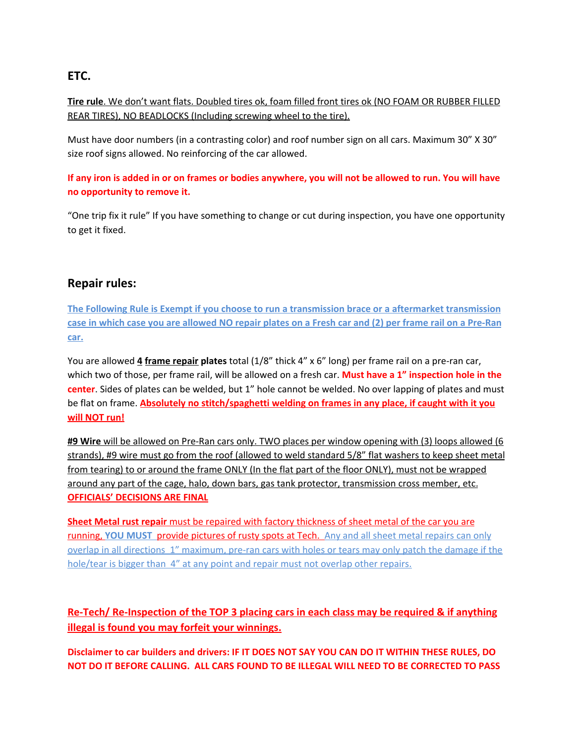# **ETC.**

**Tire rule**. We don't want flats. Doubled tires ok, foam filled front tires ok (NO FOAM OR RUBBER FILLED REAR TIRES), NO BEADLOCKS (Including screwing wheel to the tire).

Must have door numbers (in a contrasting color) and roof number sign on all cars. Maximum 30" X 30" size roof signs allowed. No reinforcing of the car allowed.

If any iron is added in or on frames or bodies anywhere, you will not be allowed to run. You will have **no opportunity to remove it.**

"One trip fix it rule" If you have something to change or cut during inspection, you have one opportunity to get it fixed.

### **Repair rules:**

**The Following Rule is Exempt if you choose to run a transmission brace or a aftermarket transmission** case in which case you are allowed NO repair plates on a Fresh car and (2) per frame rail on a Pre-Ran **car.**

You are allowed **4 frame repair plates** total (1/8" thick 4" x 6" long) per frame rail on a pre-ran car, which two of those, per frame rail, will be allowed on a fresh car. **Must have a 1" inspection hole in the center**. Sides of plates can be welded, but 1" hole cannot be welded. No over lapping of plates and must be flat on frame. **Absolutely no stitch/spaghetti welding on frames in any place, if caught with it you will NOT run!**

**#9 Wire** will be allowed on Pre-Ran cars only. TWO places per window opening with (3) loops allowed (6 strands), #9 wire must go from the roof (allowed to weld standard 5/8" flat washers to keep sheet metal from tearing) to or around the frame ONLY (In the flat part of the floor ONLY), must not be wrapped around any part of the cage, halo, down bars, gas tank protector, transmission cross member, etc. **OFFICIALS' DECISIONS ARE FINAL**

**Sheet Metal rust repair** must be repaired with factory thickness of sheet metal of the car you are running, **YOU MUST** provide pictures of rusty spots at Tech. Any and all sheet metal repairs can only overlap in all directions 1" maximum, pre-ran cars with holes or tears may only patch the damage if the hole/tear is bigger than 4" at any point and repair must not overlap other repairs.

**Re-Tech/ Re-Inspection of the TOP 3 placing cars in each class may be required & if anything illegal is found you may forfeit your winnings.**

Disclaimer to car builders and drivers: IF IT DOES NOT SAY YOU CAN DO IT WITHIN THESE RULES, DO **NOT DO IT BEFORE CALLING. ALL CARS FOUND TO BE ILLEGAL WILL NEED TO BE CORRECTED TO PASS**